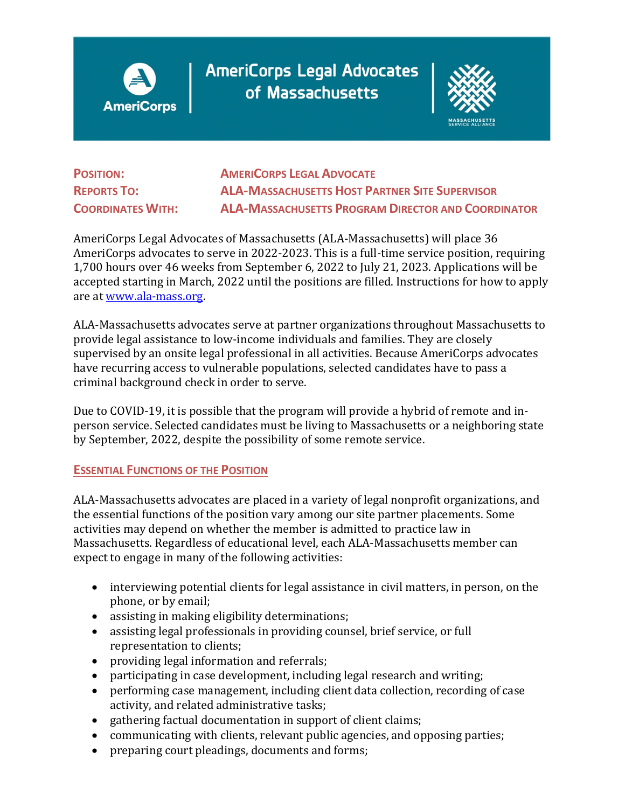

**AmeriCorps Legal Advocates** of Massachusetts



**POSITION: AMERICORPS LEGAL ADVOCATE REPORTS TO: ALA-MASSACHUSETTS HOST PARTNER SITE SUPERVISOR COORDINATES WITH: ALA-MASSACHUSETTS PROGRAM DIRECTOR AND COORDINATOR** 

AmeriCorps Legal Advocates of Massachusetts (ALA-Massachusetts) will place 36 AmeriCorps advocates to serve in 2022-2023. This is a full-time service position, requiring 1,700 hours over 46 weeks from September 6, 2022 to July 21, 2023. Applications will be accepted starting in March, 2022 until the positions are filled. Instructions for how to apply are at [www.ala-mass.org.](http://www.ala-mass.org/)

ALA-Massachusetts advocates serve at partner organizations throughout Massachusetts to provide legal assistance to low-income individuals and families. They are closely supervised by an onsite legal professional in all activities. Because AmeriCorps advocates have recurring access to vulnerable populations, selected candidates have to pass a criminal background check in order to serve.

Due to COVID-19, it is possible that the program will provide a hybrid of remote and inperson service. Selected candidates must be living to Massachusetts or a neighboring state by September, 2022, despite the possibility of some remote service.

## **ESSENTIAL FUNCTIONS OF THE POSITION**

ALA-Massachusetts advocates are placed in a variety of legal nonprofit organizations, and the essential functions of the position vary among our site partner placements. Some activities may depend on whether the member is admitted to practice law in Massachusetts. Regardless of educational level, each ALA-Massachusetts member can expect to engage in many of the following activities:

- interviewing potential clients for legal assistance in civil matters, in person, on the phone, or by email;
- assisting in making eligibility determinations;
- assisting legal professionals in providing counsel, brief service, or full representation to clients;
- providing legal information and referrals;
- participating in case development, including legal research and writing;
- performing case management, including client data collection, recording of case activity, and related administrative tasks;
- gathering factual documentation in support of client claims;
- communicating with clients, relevant public agencies, and opposing parties;
- preparing court pleadings, documents and forms;